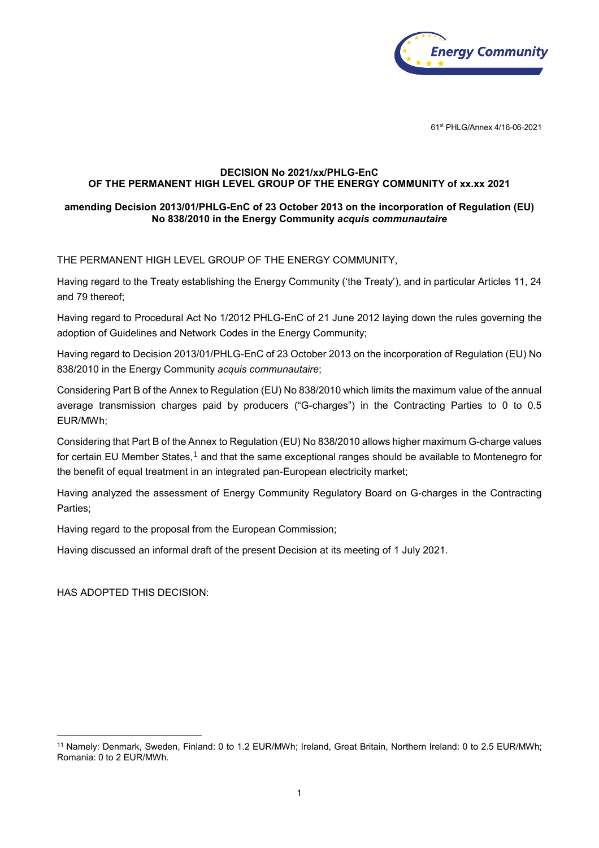

61st PHLG/Annex 4/16-06-2021

## **DECISION No 2021/xx/PHLG-EnC OF THE PERMANENT HIGH LEVEL GROUP OF THE ENERGY COMMUNITY of xx.xx 2021**

## **amending Decision 2013/01/PHLG-EnC of 23 October 2013 on the incorporation of Regulation (EU) No 838/2010 in the Energy Community** *acquis communautaire*

THE PERMANENT HIGH LEVEL GROUP OF THE ENERGY COMMUNITY,

Having regard to the Treaty establishing the Energy Community ('the Treaty'), and in particular Articles 11, 24 and 79 thereof;

Having regard to Procedural Act No 1/2012 PHLG-EnC of 21 June 2012 laying down the rules governing the adoption of Guidelines and Network Codes in the Energy Community;

Having regard to Decision 2013/01/PHLG-EnC of 23 October 2013 on the incorporation of Regulation (EU) No 838/2010 in the Energy Community *acquis communautaire*;

Considering Part B of the Annex to Regulation (EU) No 838/2010 which limits the maximum value of the annual average transmission charges paid by producers ("G-charges") in the Contracting Parties to 0 to 0.5 EUR/MWh;

Considering that Part B of the [An](#page-0-0)nex to Regulation (EU) No 838/2010 allows higher maximum G-charge values for certain EU Member States, $1$  and that the same exceptional ranges should be available to Montenegro for the benefit of equal treatment in an integrated pan-European electricity market;

Having analyzed the assessment of Energy Community Regulatory Board on G-charges in the Contracting Parties;

Having regard to the proposal from the European Commission;

Having discussed an informal draft of the present Decision at its meeting of 1 July 2021.

HAS ADOPTED THIS DECISION:

<span id="page-0-0"></span><sup>11</sup> Namely: Denmark, Sweden, Finland: 0 to 1.2 EUR/MWh; Ireland, Great Britain, Northern Ireland: 0 to 2.5 EUR/MWh; Romania: 0 to 2 EUR/MWh.